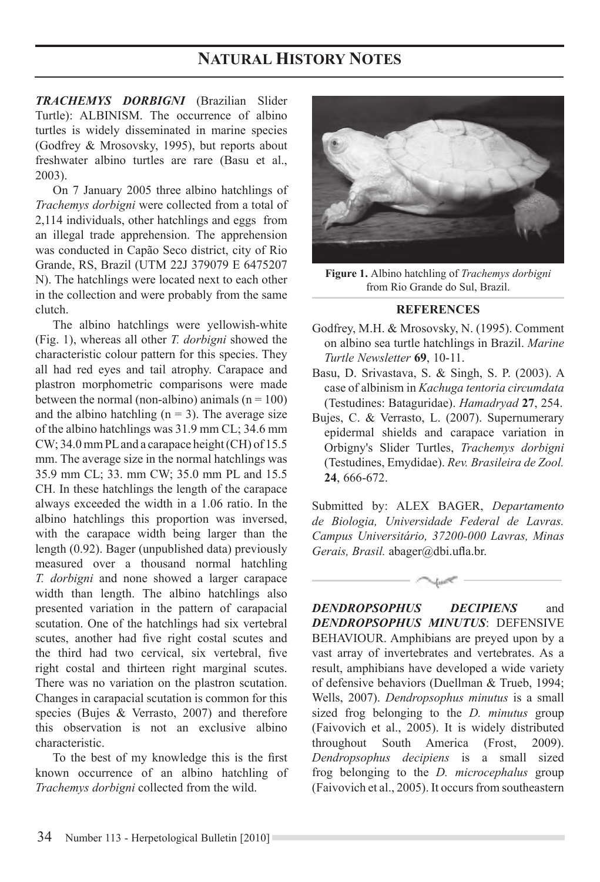# **NATURAL HISTORY NOTES**

*TRACHEMYS DORBIGNI* (Brazilian Slider Turtle): ALBINISM. The occurrence of albino turtles is widely disseminated in marine species (Godfrey & Mrosovsky, 1995), but reports about freshwater albino turtles are rare (Basu et al., 2003).

On 7 January 2005 three albino hatchlings of *Trachemys dorbigni* were collected from a total of  $2.114$  individuals, other hatchlings and eggs from an illegal trade apprehension. The apprehension was conducted in Capão Seco district, city of Rio Grande, RS, Brazil (UTM 22J 379079 E 6475207 N). The hatchlings were located next to each other in the collection and were probably from the same clutch.

The albino hatchlings were yellowish-white (Fig. 1), whereas all other *T. dorbigni* showed the characteristic colour pattern for this species. They all had red eyes and tail atrophy. Carapace and plastron morphometric comparisons were made between the normal (non-albino) animals  $(n = 100)$ and the albino hatchling  $(n = 3)$ . The average size of the albino hatchlings was  $31.9$  mm CL;  $34.6$  mm  $CW$ ; 34.0 mm PL and a carapace height (CH) of 15.5 mm. The average size in the normal hatchlings was 35.9 mm CL; 33. mm CW; 35.0 mm PL and 15.5 CH. In these hatchlings the length of the carapace always exceeded the width in a 1.06 ratio. In the albino hatchlings this proportion was inversed, with the carapace width being larger than the length (0.92). Bager (unpublished data) previously measured over a thousand normal hatchling *T. dorbigni* and none showed a larger carapace width than length. The albino hatchlings also presented variation in the pattern of carapacial scutation. One of the hatchlings had six vertebral scutes, another had five right costal scutes and the third had two cervical, six vertebral, five right costal and thirteen right marginal scutes. There was no variation on the plastron scutation. Changes in carapacial scutation is common for this species (Bujes  $\&$  Verrasto, 2007) and therefore this observation is not an exclusive albino characteristic.

To the best of my knowledge this is the first known occurrence of an albino hatchling of *Trachemys dorbigni* collected from the wild.



Figure 1. Albino hatchling of *Trachemys dorbigni* from Rio Grande do Sul. Brazil.

#### **REFERENCES**

- Godfrey, M.H. & Mrosovsky, N. (1995). Comment on albino sea turtle hatchlings in Brazil. *Marine Turtle Newsletter* **69**, 10-11.
- Basu, D. Srivastava, S. & Singh, S. P. (2003). A case of albinism in Kachuga tentoria circumdata (Testudines: Bataguridae). *Hamadryad* **27**, 254.
- Bujes, C. & Verrasto, L. (2007). Supernumerary epidermal shields and carapace variation in Orbigny's Slider Turtles, *Trachemys dorbigni* (Testudines, Emydidae). *Rev. Brasileira de Zool.* **24**, 666-672.

Submitted by: ALEX BAGER, *Departamento de Biologia, Universidade Federal de Lavras. Campus Universitário, 37200-000 Lavras, Minas Gerais, Brasil.* abager@dbi.ufla.br.

*DENDROPSOPHUS DECIPIENS* and *DENDROPSOPHUS MINUTUS*: DEFENSIVE BEHAVIOUR. Amphibians are preyed upon by a vast array of invertebrates and vertebrates. As a result, amphibians have developed a wide variety of defensive behaviors (Duellman & Trueb, 1994; Wells, 2007). *Dendropsophus minutus* is a small sized frog belonging to the *D. minutus* group (Faivovich et al., 2005). It is widely distributed throughout South America (Frost, 2009). *Dendropsophus decipiens* is a small sized frog belonging to the *D. microcephalus* group (Faivovich et al., 2005). It occurs from southeastern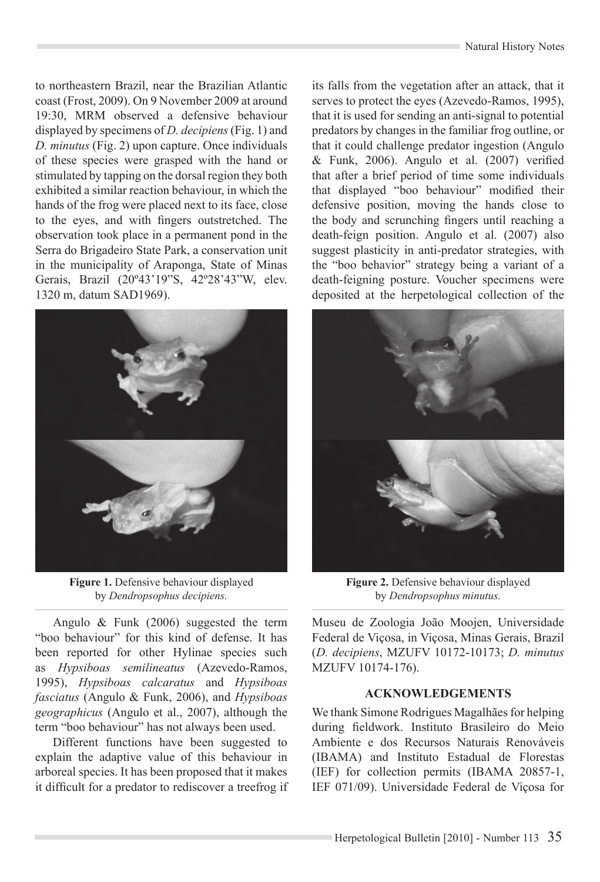to northeastern Brazil, near the Brazilian Atlantic coast (Frost, 2009). On 9 November 2009 at around 19:30, MRM observed a defensive behaviour displayed by specimens of *D. decipiens* (Fig. 1) and *D. minutus* (Fig. 2) upon capture. Once individuals of these species were grasped with the hand or stimulated by tapping on the dorsal region they both exhibited a similar reaction behaviour, in which the hands of the frog were placed next to its face, close to the eyes, and with fingers outstretched. The observation took place in a permanent pond in the Serra do Brigadeiro State Park, a conservation unit in the municipality of Araponga, State of Minas Gerais, Brazil (20°43'19"S, 42°28'43"W, elev. 1320 m, datum SAD1969).



Figure 1. Defensive behaviour displayed by *Dendropsophus decipiens.*

Angulo & Funk (2006) suggested the term "boo behaviour" for this kind of defense. It has been reported for other Hylinae species such as *Hypsiboas semilineatus* (Azevedo-Ramos, 1995), *Hypsiboas calcaratus* and *Hypsiboas fasciatus* (Angulo & Funk, 2006), and *Hypsiboas geographicus* (Angulo et al., 2007), although the term "boo behaviour" has not always been used.

Different functions have been suggested to explain the adaptive value of this behaviour in arboreal species. It has been proposed that it makes it difficult for a predator to rediscover a treefrog if its falls from the vegetation after an attack, that it serves to protect the eyes (Azevedo-Ramos, 1995), that it is used for sending an anti-signal to potential predators by changes in the familiar frog outline, or that it could challenge predator ingestion (Angulo  $& Funk, 2006)$ . Angulo et al. (2007) verified that after a brief period of time some individuals that displayed "boo behaviour" modified their defensive position, moving the hands close to the body and scrunching fingers until reaching a death-feign position. Angulo et al.  $(2007)$  also suggest plasticity in anti-predator strategies, with the "boo behavior" strategy being a variant of a death-feigning posture. Voucher specimens were deposited at the herpetological collection of the



Figure 2. Defensive behaviour displayed by *Dendropsophus minutus.*

Museu de Zoologia João Moojen, Universidade Federal de Viçosa, in Viçosa, Minas Gerais, Brazil (*D. decipiens*, MZUFV 10172-10173; *D. minutus* MZUFV 10174-176).

## **ACKNOWLEDGEMENTS**

We thank Simone Rodrigues Magalhães for helping during fieldwork. Instituto Brasileiro do Meio Ambiente e dos Recursos Naturais Renováveis (IBAMA) and Instituto Estadual de Florestas  $(IEF)$  for collection permits  $(IBAMA 20857-1)$ , IEF 071/09). Universidade Federal de Viçosa for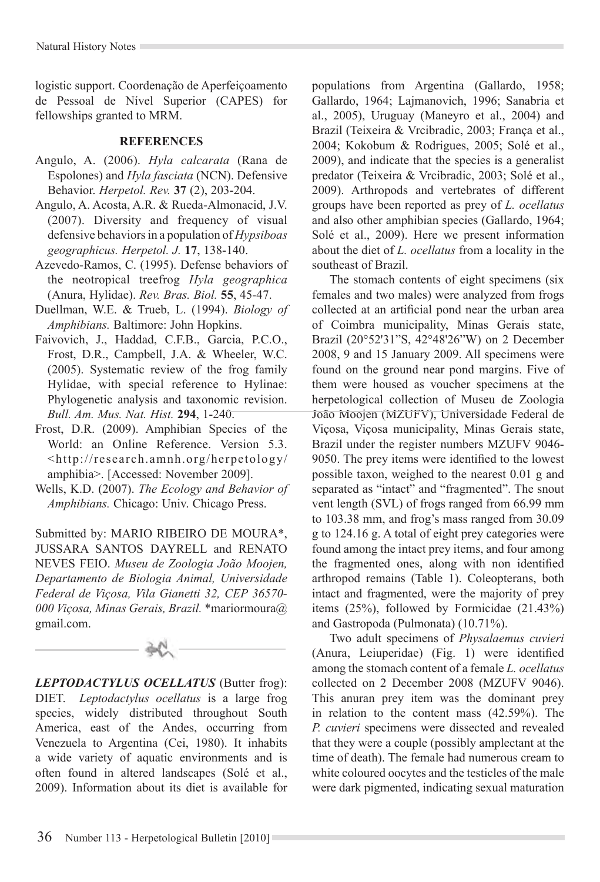logistic support. Coordenação de Aperfeiçoamento de Pessoal de Nível Superior (CAPES) for fellowships granted to MRM.

#### **REFERENCES**

- Angulo, A. (2006). *Hyla calcarata* (Rana de Espolones) and *Hyla fasciata* (NCN). Defensive Behavior. *Herpetol. Rev.* **37** (2), 203-204.
- Angulo, A. Acosta, A.R. & Rueda-Almonacid, J.V.  $(2007)$ . Diversity and frequency of visual defensive behaviors in a population of *Hypsiboas geographicus. Herpetol. J.* **17**, 138-140.
- Azevedo-Ramos, C. (1995). Defense behaviors of the neotropical treefrog Hyla geographica (Anura, Hylidae). *Rev. Bras. Biol.* **55**, 45-47.
- Duellman, W.E. & Trueb, L. (1994). *Biology of Amphibians.* Baltimore: John Hopkins.
- Faivovich, J., Haddad, C.F.B., Garcia, P.C.O., Frost, D.R., Campbell, J.A. & Wheeler, W.C.  $(2005)$ . Systematic review of the frog family Hylidae, with special reference to Hylinae: Phylogenetic analysis and taxonomic revision. *Bull. Am. Mus. Nat. Hist.* **294**, 1-240.
- Frost, D.R. (2009). Amphibian Species of the World: an Online Reference. Version 5.3. <http://research.amnh.org/herpetology/ amphibia>. [Accessed: November 2009].
- Wells, K.D. (2007). *The Ecology and Behavior of Amphibians.* Chicago: Univ. Chicago Press.

Submitted by: MARIO RIBEIRO DE MOURA\*, JUSSARA SANTOS DAYRELL and RENATO NEVES FEIO. *Museu de Zoologia João Moojen, Departamento de Biologia Animal, Universidade Federal de Viçosa, Vila Gianetti 32, CEP 36570- 000 Viçosa, Minas Gerais, Brazil.* \*mariormoura@ gmail.com.

*LEPTODACTYLUS OCELLATUS* (Butter frog): DIET. *Leptodactylus ocellatus* is a large frog species, widely distributed throughout South America, east of the Andes, occurring from Venezuela to Argentina (Cei, 1980). It inhabits a wide variety of aquatic environments and is often found in altered landscapes (Solé et al., 2009). Information about its diet is available for populations from Argentina (Gallardo, 1958; Gallardo, 1964; Lajmanovich, 1996; Sanabria et al., 2005), Uruguay (Maneyro et al., 2004) and Brazil (Teixeira & Vrcibradic, 2003; França et al., 2004; Kokobum & Rodrigues, 2005; Solé et al., 2009), and indicate that the species is a generalist predator (Teixeira & Vrcibradic, 2003; Solé et al., 2009). Arthropods and vertebrates of different groups have been reported as prey of *L. ocellatus* and also other amphibian species (Gallardo, 1964; Solé et al., 2009). Here we present information about the diet of *L. ocellatus* from a locality in the southeast of Brazil.

The stomach contents of eight specimens (six females and two males) were analyzed from frogs collected at an artificial pond near the urban area of Coimbra municipality, Minas Gerais state, Brazil  $(20^{\circ}52'31''S, 42^{\circ}48'26''W)$  on 2 December 2008, 9 and 15 January 2009. All specimens were found on the ground near pond margins. Five of them were housed as voucher specimens at the herpetological collection of Museu de Zoologia João Moojen (MZUFV), Universidade Federal de Viçosa, Viçosa municipality, Minas Gerais state, Brazil under the register numbers MZUFV 9046- 9050. The prey items were identified to the lowest possible taxon, weighed to the nearest 0.01 g and separated as "intact" and "fragmented". The snout vent length (SVL) of frogs ranged from 66.99 mm to 103.38 mm, and frog's mass ranged from 30.09 g to 124.16 g. A total of eight prey categories were found among the intact prey items, and four among the fragmented ones, along with non identified arthropod remains (Table 1). Coleopterans, both intact and fragmented, were the majority of prev items  $(25\%)$ , followed by Formicidae  $(21.43\%)$ and Gastropoda (Pulmonata) (10.71%).

Two adult specimens of *Physalaemus cuvieri* (Anura, Leiuperidae) (Fig. 1) were identified among the stomach content of a female *L. ocellatus* collected on 2 December 2008 (MZUFV 9046). This anuran prey item was the dominant prey in relation to the content mass (42.59%). The *P. cuvieri* specimens were dissected and revealed that they were a couple (possibly amplectant at the time of death). The female had numerous cream to white coloured oocytes and the testicles of the male were dark pigmented, indicating sexual maturation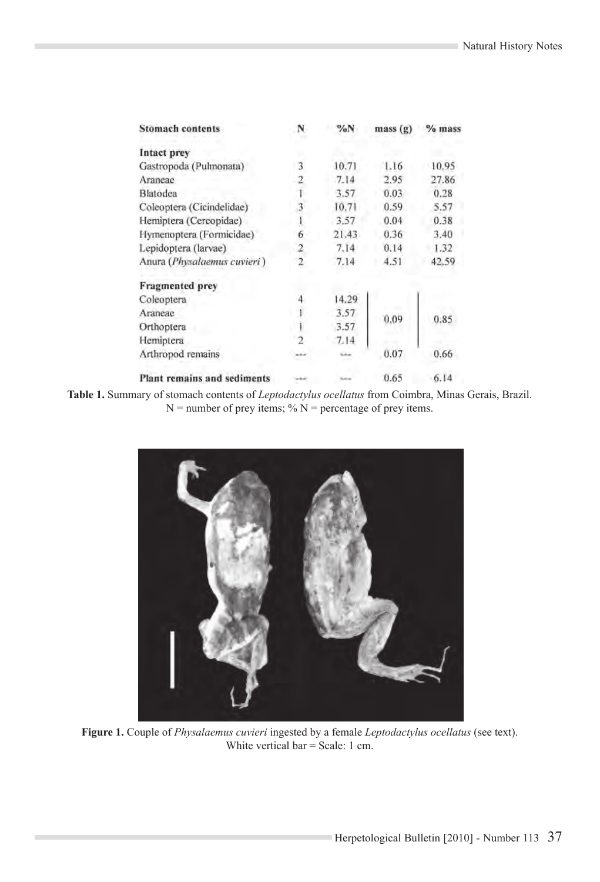| <b>Stomach contents</b>            |   | %N    | mass(g) | $%$ mass |
|------------------------------------|---|-------|---------|----------|
| Intact prey                        |   |       |         |          |
| Gastropoda (Pulmonata)             | 3 | 10.71 | 1.16    | 10.95    |
| Araneae                            |   | 7.14  | 2.95    | 27.86    |
| Blatodea                           |   | 3.57  | 0.03    | 0.28     |
| Coleoptera (Cicindelidae)          |   | 10.71 | 0.59    | 5.57     |
| Hemiptera (Cercopidae)             |   | 3.57  | 0.04    | 0.38     |
| Hymenoptera (Formicidae)           | 6 | 21.43 | 0.36    | 3.40     |
| Lepidoptera (larvae)               |   | 7.14  | 0.14    | 1.32     |
| Anura (Physalaemus cuvieri)        |   | 7.14  | 4.51    | 42.59    |
| <b>Fragmented</b> prey             |   |       |         |          |
| Coleoptera                         |   | 14.29 | 0.09    | 0.85     |
| Araneae                            |   | 3.57  |         |          |
| Orthoptera                         |   | 3.57  |         |          |
| Hemiptera                          |   | 7.14  |         |          |
| Arthropod remains                  |   | سند   | 0.07    | 0.66     |
| <b>Plant remains and sediments</b> |   |       | 0.65    | 6.14     |

Table 1. Summary of stomach contents of *Leptodactylus ocellatus* from Coimbra, Minas Gerais, Brazil.  $N =$  number of prey items; %  $N =$  percentage of prey items.



Figure 1. Couple of *Physalaemus cuvieri* ingested by a female *Leptodactylus ocellatus* (see text). White vertical bar = Scale: 1 cm.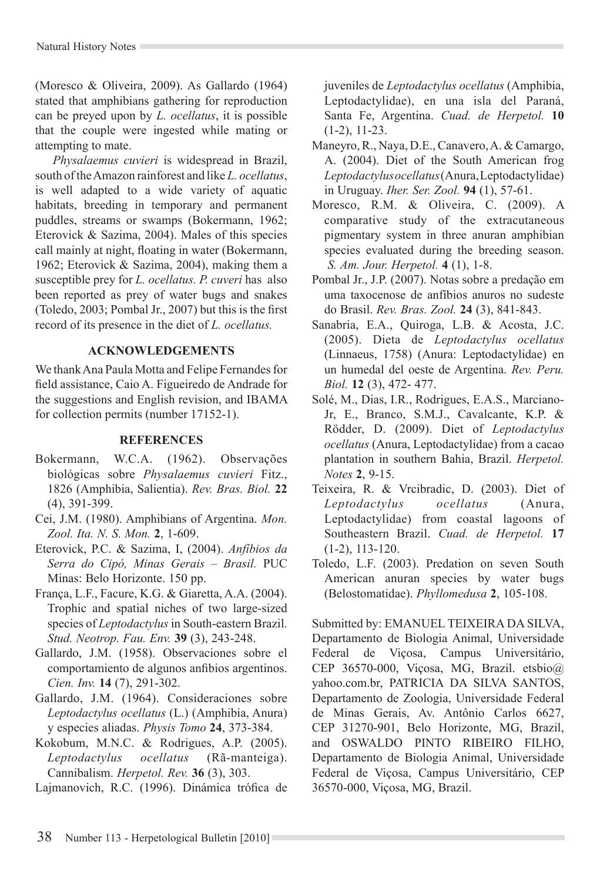(Moresco & Oliveira, 2009). As Gallardo (1964) stated that amphibians gathering for reproduction can be preyed upon by *L. ocellatus*, it is possible that the couple were ingested while mating or attempting to mate.

*Physalaemus cuvieri* is widespread in Brazil, south of the Amazon rainforest and like L. ocellatus, is well adapted to a wide variety of aquatic habitats, breeding in temporary and permanent puddles, streams or swamps (Bokermann, 1962; Eterovick  $& Sazima, 2004$ ). Males of this species call mainly at night, floating in water (Bokermann, 1962: Eterovick & Sazima, 2004), making them a susceptible prey for *L. ocellatus. P. cuveri* has also been reported as prey of water bugs and snakes (Toledo, 2003; Pombal Jr., 2007) but this is the first record of its presence in the diet of L. ocellatus.

# **ACKNOWLEDGEMENTS**

We thank Ana Paula Motta and Felipe Fernandes for field assistance, Caio A. Figueiredo de Andrade for the suggestions and English revision, and IBAMA for collection permits (number  $17152-1$ ).

# **REFERENCES**

- Bokermann, W.C.A. (1962). Observações biológicas sobre *Physalaemus cuvieri* Fitz., 1826 (Amphibia, Salientia). *Rev. Bras. Biol.* **22** (4), 391-399.
- Cei, J.M. (1980). Amphibians of Argentina. Mon. *Zool. Ita. N. S. Mon.* **2**, 1-609.
- Eterovick, P.C. & Sazima, I, (2004). *Anfíbios da Serra do Cipó, Minas Gerais – Brasil.* PUC Minas: Belo Horizonte. 150 pp.
- França, L.F., Facure, K.G. & Giaretta, A.A. (2004). Trophic and spatial niches of two large-sized species of *Leptodactylus* in South-eastern Brazil. *Stud. Neotrop. Fau. Env.* **39** (3), 243-248.
- Gallardo, J.M. (1958). Observaciones sobre el comportamiento de algunos anfibios argentinos. *Cien. Inv.* **14** (7), 291-302.
- Gallardo, J.M. (1964). Consideraciones sobre *Leptodactylus ocellatus* (L.) (Amphibia, Anura) y especies aliadas. *Physis Tomo* **24**, 373-384.
- Kokobum, M.N.C. & Rodrigues, A.P. (2005). *Leptodactylus ocellatus* (Rã-manteiga). Cannibalism. *Herpetol. Rev.* **36** (3), 303.

Lajmanovich, R.C. (1996). Dinámica trófica de

juveniles de *Leptodactylus ocellatus* (Amphibia, Leptodactylidae), en una isla del Paraná, Santa Fe, Argentina. *Cuad. de Herpetol.* **10** (1-2), 11-23.

- Maneyro, R., Naya, D.E., Canavero, A. & Camargo, A. (2004). Diet of the South American frog *Leptodactylus ocellatus* (Anura, Leptodactylidae) in Uruguay. *Iher. Ser. Zool.* **94** (1), 57-61.
- Moresco, R.M. & Oliveira, C. (2009). A comparative study of the extracutaneous pigmentary system in three anuran amphibian species evaluated during the breeding season.  *S. Am. Jour. Herpetol.* **4** (1), 1-8.
- Pombal Jr., J.P. (2007). Notas sobre a predação em uma taxocenose de anfíbios anuros no sudeste do Brasil. *Rev. Bras. Zool.* **24** (3), 841-843.
- Sanabria, E.A., Quiroga, L.B. & Acosta, J.C. (2005). Dieta de *Leptodactylus ocellatus* (Linnaeus, 1758) (Anura: Leptodactylidae) en un humedal del oeste de Argentina. *Rev. Peru. Biol.* **12** (3), 472- 477.
- Solé, M., Dias, I.R., Rodrigues, E.A.S., Marciano-Jr, E., Branco, S.M.J., Cavalcante, K.P. & Rödder, D. (2009). Diet of Leptodactylus *ocellatus* (Anura, Leptodactylidae) from a cacao plantation in southern Bahia, Brazil. *Herpetol. Notes* **2**, 9-15.
- Teixeira, R. & Vrcibradic, D. (2003). Diet of *Leptodactylus ocellatus* (Anura, Leptodactylidae) from coastal lagoons of Southeastern Brazil. *Cuad. de Herpetol.* **17** (1-2), 113-120.
- Toledo, L.F. (2003). Predation on seven South American anuran species by water bugs (Belostomatidae). *Phyllomedusa* **2**, 105-108.

Submitted by: EMANUEL TEIXEIRA DA SILVA, Departamento de Biologia Animal, Universidade Federal de Viçosa, Campus Universitário, CEP 36570-000, Viçosa, MG, Brazil. etsbio@ yahoo.com.br, PATRICIA DA SILVA SANTOS, Departamento de Zoologia, Universidade Federal de Minas Gerais, Av. Antônio Carlos 6627, CEP 31270-901, Belo Horizonte, MG, Brazil, and OSWALDO PINTO RIBEIRO FILHO, Departamento de Biologia Animal, Universidade Federal de Viçosa, Campus Universitário, CEP 36570-000, Viçosa, MG, Brazil.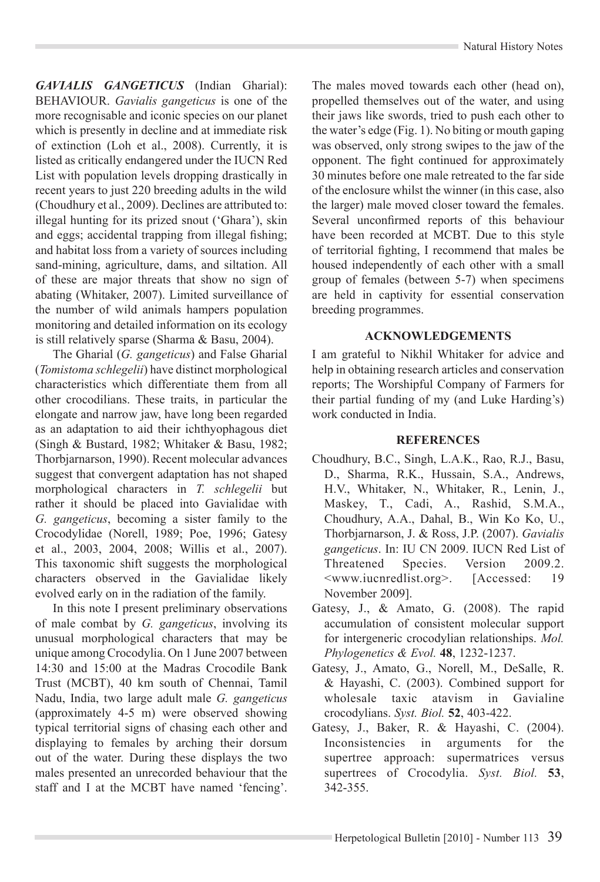*GAVIALIS GANGETICUS* (Indian Gharial): BEHAVIOUR. *Gavialis gangeticus* is one of the more recognisable and iconic species on our planet which is presently in decline and at immediate risk of extinction (Loh et al., 2008). Currently, it is listed as critically endangered under the IUCN Red List with population levels dropping drastically in recent years to just 220 breeding adults in the wild (Choudhury et al., 2009). Declines are attributed to: illegal hunting for its prized snout ('Ghara'), skin and eggs; accidental trapping from illegal fishing; and habitat loss from a variety of sources including sand-mining, agriculture, dams, and siltation. All of these are major threats that show no sign of abating (Whitaker, 2007). Limited surveillance of the number of wild animals hampers population monitoring and detailed information on its ecology is still relatively sparse (Sharma & Basu, 2004).

The Gharial (*G. gangeticus*) and False Gharial (*Tomistoma schlegelii*) have distinct morphological characteristics which differentiate them from all other crocodilians. These traits, in particular the elongate and narrow jaw, have long been regarded as an adaptation to aid their ichthyophagous diet (Singh & Bustard, 1982; Whitaker & Basu, 1982; Thorbjarnarson, 1990). Recent molecular advances suggest that convergent adaptation has not shaped morphological characters in *T. schlegelii* but rather it should be placed into Gavialidae with *G. gangeticus*, becoming a sister family to the Crocodylidae (Norell, 1989; Poe, 1996; Gatesy et al., 2003, 2004, 2008; Willis et al., 2007). This taxonomic shift suggests the morphological characters observed in the Gavialidae likely evolved early on in the radiation of the family.

In this note I present preliminary observations of male combat by G. gangeticus, involving its unusual morphological characters that may be unique among Crocodylia. On 1 June 2007 between 14:30 and 15:00 at the Madras Crocodile Bank Trust (MCBT), 40 km south of Chennai, Tamil Nadu, India, two large adult male *G. gangeticus* (approximately 4-5 m) were observed showing typical territorial signs of chasing each other and displaying to females by arching their dorsum out of the water. During these displays the two males presented an unrecorded behaviour that the staff and I at the MCBT have named 'fencing'.

The males moved towards each other (head on), propelled themselves out of the water, and using their jaws like swords, tried to push each other to the water's edge (Fig. 1). No biting or mouth gaping was observed, only strong swipes to the jaw of the opponent. The fight continued for approximately 30 minutes before one male retreated to the far side of the enclosure whilst the winner (in this case, also the larger) male moved closer toward the females. Several unconfirmed reports of this behaviour have been recorded at MCBT. Due to this style of territorial fighting, I recommend that males be housed independently of each other with a small group of females (between  $5-7$ ) when specimens are held in captivity for essential conservation breeding programmes.

## **ACKNOWLEDGEMENTS**

I am grateful to Nikhil Whitaker for advice and help in obtaining research articles and conservation reports; The Worshipful Company of Farmers for their partial funding of my (and Luke Harding's) work conducted in India.

# **REFERENCES**

- Choudhury, B.C., Singh, L.A.K., Rao, R.J., Basu, D., Sharma, R.K., Hussain, S.A., Andrews, H.V., Whitaker, N., Whitaker, R., Lenin, J., Maskey, T., Cadi, A., Rashid, S.M.A., Choudhury, A.A., Dahal, B., Win Ko Ko, U., Thorbjarnarson, J. & Ross, J.P. (2007). *Gavialis gangeticus*. In: IU CN 2009. IUCN Red List of Threatened Species. Version 2009.2. <www.iucnredlist.org>. [Accessed: 19 November 2009].
- Gatesy, J., & Amato, G. (2008). The rapid accumulation of consistent molecular support for intergeneric crocodylian relationships. Mol. *Phylogenetics & Evol.* **48**, 1232-1237.
- Gatesy, J., Amato, G., Norell, M., DeSalle, R.  $&$  Hayashi, C. (2003). Combined support for wholesale taxic atavism in Gavialine crocodylians. *Syst. Biol.* **52**, 403-422.
- Gatesy, J., Baker, R. & Hayashi, C. (2004). Inconsistencies in arguments for the supertree approach: supermatrices versus supertrees of Crocodylia, Syst. Biol. 53, 342-355.